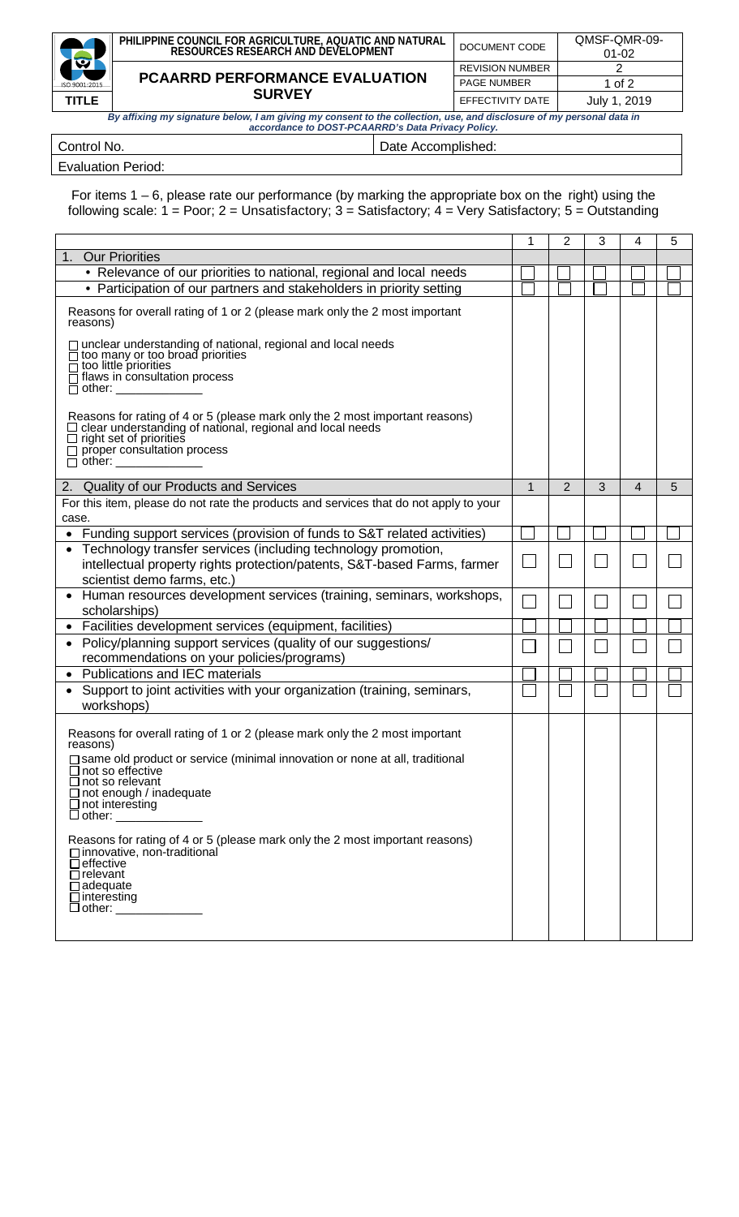|                                                                                                                      | PHILIPPINE COUNCIL FOR AGRICULTURE, AQUATIC AND NATURAL<br>RESOURCES RESEARCH AND DEVELOPMENT | DOCUMENT CODE          | QMSF-QMR-09-<br>$01 - 02$ |  |  |
|----------------------------------------------------------------------------------------------------------------------|-----------------------------------------------------------------------------------------------|------------------------|---------------------------|--|--|
| 図                                                                                                                    |                                                                                               | <b>REVISION NUMBER</b> |                           |  |  |
| ISO 9001:2015                                                                                                        | <b>PCAARRD PERFORMANCE EVALUATION</b>                                                         | <b>PAGE NUMBER</b>     | 1 of 2                    |  |  |
| <b>TITLE</b>                                                                                                         | <b>SURVEY</b>                                                                                 |                        | July 1, 2019              |  |  |
| By affixing my signature below, I am giving my consent to the collection, use, and disclosure of my personal data in |                                                                                               |                        |                           |  |  |

| y anixing my organical observing and groung my volutions to the conceating aborderation or my portional autom<br>accordance to DOST-PCAARRD's Data Privacy Policy. |                    |  |  |  |
|--------------------------------------------------------------------------------------------------------------------------------------------------------------------|--------------------|--|--|--|
| Control No.                                                                                                                                                        | Date Accomplished: |  |  |  |

## Evaluation Period:

For items 1 – 6, please rate our performance (by marking the appropriate box on the right) using the following scale: 1 = Poor; 2 = Unsatisfactory; 3 = Satisfactory; 4 = Very Satisfactory; 5 = Outstanding

|                                                                                                                                                                                                                                                                                                                                                                                                                                                                                 | 1            | 2 | 3 | 4              | 5 |
|---------------------------------------------------------------------------------------------------------------------------------------------------------------------------------------------------------------------------------------------------------------------------------------------------------------------------------------------------------------------------------------------------------------------------------------------------------------------------------|--------------|---|---|----------------|---|
| <b>Our Priorities</b><br>1 <sub>1</sub>                                                                                                                                                                                                                                                                                                                                                                                                                                         |              |   |   |                |   |
| • Relevance of our priorities to national, regional and local needs                                                                                                                                                                                                                                                                                                                                                                                                             |              |   |   |                |   |
| • Participation of our partners and stakeholders in priority setting                                                                                                                                                                                                                                                                                                                                                                                                            |              |   |   |                |   |
| Reasons for overall rating of 1 or 2 (please mark only the 2 most important<br>reasons)                                                                                                                                                                                                                                                                                                                                                                                         |              |   |   |                |   |
| □ unclear understanding of national, regional and local needs<br>too many or too broad priorities<br>too little priorities<br>flaws in consultation process<br>other:                                                                                                                                                                                                                                                                                                           |              |   |   |                |   |
| Reasons for rating of 4 or 5 (please mark only the 2 most important reasons)<br>clear understanding of national, regional and local needs<br>$\Box$ right set of priorities<br>$\Box$ proper consultation process<br>$\Box$ other: $\Box$                                                                                                                                                                                                                                       |              |   |   |                |   |
| 2. Quality of our Products and Services                                                                                                                                                                                                                                                                                                                                                                                                                                         | $\mathbf{1}$ | 2 | 3 | $\overline{4}$ | 5 |
| For this item, please do not rate the products and services that do not apply to your                                                                                                                                                                                                                                                                                                                                                                                           |              |   |   |                |   |
| case.                                                                                                                                                                                                                                                                                                                                                                                                                                                                           |              |   |   |                |   |
| • Funding support services (provision of funds to S&T related activities)                                                                                                                                                                                                                                                                                                                                                                                                       |              |   |   |                |   |
| Technology transfer services (including technology promotion,<br>intellectual property rights protection/patents, S&T-based Farms, farmer<br>scientist demo farms, etc.)                                                                                                                                                                                                                                                                                                        |              |   |   |                |   |
| Human resources development services (training, seminars, workshops,<br>$\bullet$<br>scholarships)                                                                                                                                                                                                                                                                                                                                                                              |              |   |   |                |   |
| Facilities development services (equipment, facilities)<br>$\bullet$                                                                                                                                                                                                                                                                                                                                                                                                            |              |   |   |                |   |
| Policy/planning support services (quality of our suggestions/<br>recommendations on your policies/programs)                                                                                                                                                                                                                                                                                                                                                                     |              |   |   |                |   |
| <b>Publications and IEC materials</b><br>$\bullet$                                                                                                                                                                                                                                                                                                                                                                                                                              |              |   |   |                |   |
| Support to joint activities with your organization (training, seminars,<br>$\bullet$<br>workshops)                                                                                                                                                                                                                                                                                                                                                                              |              |   |   |                |   |
| Reasons for overall rating of 1 or 2 (please mark only the 2 most important<br>reasons)<br>□ same old product or service (minimal innovation or none at all, traditional<br>$\overline{\Box}$ not so effective<br>$\sqcup$ not so relevant<br>$\Box$ not enough / inadequate<br>$\Box$ not interesting<br>$\Box$ other:<br>Reasons for rating of 4 or 5 (please mark only the 2 most important reasons)<br>□ innovative, non-traditional<br>$\Box$ effective<br>$\Box$ relevant |              |   |   |                |   |
| $\Box$ adequate<br>$\Box$ interesting<br>□ other: ____________                                                                                                                                                                                                                                                                                                                                                                                                                  |              |   |   |                |   |